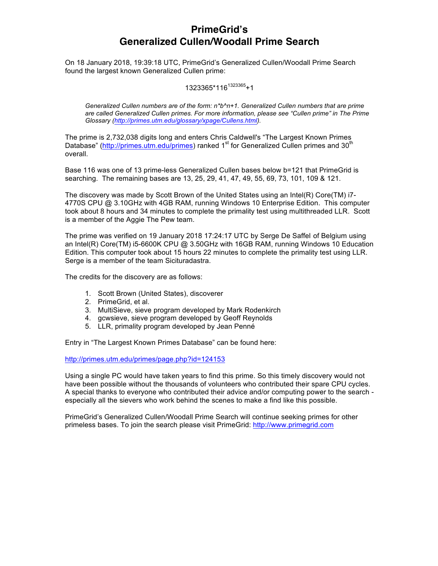# **PrimeGrid's Generalized Cullen/Woodall Prime Search**

On 18 January 2018, 19:39:18 UTC, PrimeGrid's Generalized Cullen/Woodall Prime Search found the largest known Generalized Cullen prime:

# 1323365\*116<sup>1323365</sup>+1

*Generalized Cullen numbers are of the form: n\*b^n+1. Generalized Cullen numbers that are prime are called Generalized Cullen primes. For more information, please see "Cullen prime" in The Prime Glossary (http://primes.utm.edu/glossary/xpage/Cullens.html).*

The prime is 2,732,038 digits long and enters Chris Caldwell's "The Largest Known Primes Database" (http://primes.utm.edu/primes) ranked 1<sup>st</sup> for Generalized Cullen primes and 30<sup>th</sup> overall.

Base 116 was one of 13 prime-less Generalized Cullen bases below b=121 that PrimeGrid is searching. The remaining bases are 13, 25, 29, 41, 47, 49, 55, 69, 73, 101, 109 & 121.

The discovery was made by Scott Brown of the United States using an Intel(R) Core(TM) i7- 4770S CPU @ 3.10GHz with 4GB RAM, running Windows 10 Enterprise Edition. This computer took about 8 hours and 34 minutes to complete the primality test using multithreaded LLR. Scott is a member of the Aggie The Pew team.

The prime was verified on 19 January 2018 17:24:17 UTC by Serge De Saffel of Belgium using an Intel(R) Core(TM) i5-6600K CPU @ 3.50GHz with 16GB RAM, running Windows 10 Education Edition. This computer took about 15 hours 22 minutes to complete the primality test using LLR. Serge is a member of the team Sicituradastra.

The credits for the discovery are as follows:

- 1. Scott Brown (United States), discoverer
- 2. PrimeGrid, et al.
- 3. MultiSieve, sieve program developed by Mark Rodenkirch
- 4. gcwsieve, sieve program developed by Geoff Reynolds
- 5. LLR, primality program developed by Jean Penné

Entry in "The Largest Known Primes Database" can be found here:

http://primes.utm.edu/primes/page.php?id=124153

Using a single PC would have taken years to find this prime. So this timely discovery would not have been possible without the thousands of volunteers who contributed their spare CPU cycles. A special thanks to everyone who contributed their advice and/or computing power to the search especially all the sievers who work behind the scenes to make a find like this possible.

PrimeGrid's Generalized Cullen/Woodall Prime Search will continue seeking primes for other primeless bases. To join the search please visit PrimeGrid: http://www.primegrid.com